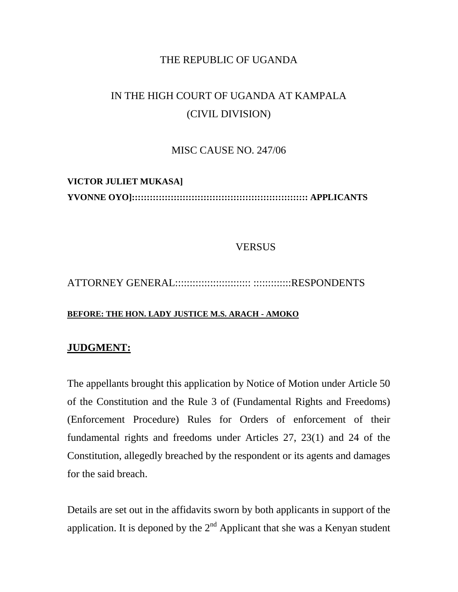### THE REPUBLIC OF UGANDA

# IN THE HIGH COURT OF UGANDA AT KAMPALA (CIVIL DIVISION)

#### MISC CAUSE NO. 247/06

## **VICTOR JULIET MUKASA] YVONNE OYO]::::::::::::::::::::::::::::::::::::::::::::::::::::::::::: APPLICANTS**

#### **VERSUS**

## ATTORNEY GENERAL:::::::::::::::::::::::::: :::::::::::::RESPONDENTS

#### **BEFORE: THE HON. LADY JUSTICE M.S. ARACH - AMOKO**

#### **JUDGMENT:**

The appellants brought this application by Notice of Motion under Article 50 of the Constitution and the Rule 3 of (Fundamental Rights and Freedoms) (Enforcement Procedure) Rules for Orders of enforcement of their fundamental rights and freedoms under Articles 27, 23(1) and 24 of the Constitution, allegedly breached by the respondent or its agents and damages for the said breach.

Details are set out in the affidavits sworn by both applicants in support of the application. It is deponed by the  $2<sup>nd</sup>$  Applicant that she was a Kenyan student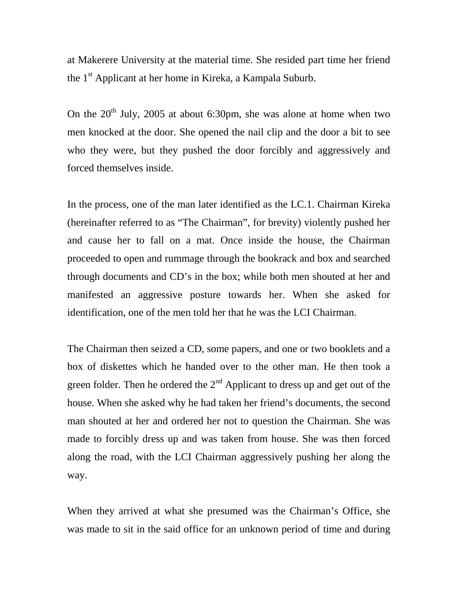at Makerere University at the material time. She resided part time her friend the 1<sup>st</sup> Applicant at her home in Kireka, a Kampala Suburb.

On the  $20<sup>th</sup>$  July, 2005 at about 6:30pm, she was alone at home when two men knocked at the door. She opened the nail clip and the door a bit to see who they were, but they pushed the door forcibly and aggressively and forced themselves inside.

In the process, one of the man later identified as the LC.1. Chairman Kireka (hereinafter referred to as "The Chairman", for brevity) violently pushed her and cause her to fall on a mat. Once inside the house, the Chairman proceeded to open and rummage through the bookrack and box and searched through documents and CD's in the box; while both men shouted at her and manifested an aggressive posture towards her. When she asked for identification, one of the men told her that he was the LCI Chairman.

The Chairman then seized a CD, some papers, and one or two booklets and a box of diskettes which he handed over to the other man. He then took a green folder. Then he ordered the  $2<sup>nd</sup>$  Applicant to dress up and get out of the house. When she asked why he had taken her friend's documents, the second man shouted at her and ordered her not to question the Chairman. She was made to forcibly dress up and was taken from house. She was then forced along the road, with the LCI Chairman aggressively pushing her along the way.

When they arrived at what she presumed was the Chairman's Office, she was made to sit in the said office for an unknown period of time and during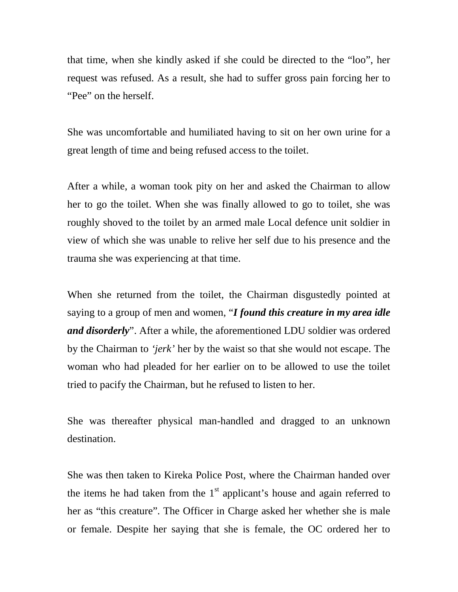that time, when she kindly asked if she could be directed to the "loo", her request was refused. As a result, she had to suffer gross pain forcing her to "Pee" on the herself.

She was uncomfortable and humiliated having to sit on her own urine for a great length of time and being refused access to the toilet.

After a while, a woman took pity on her and asked the Chairman to allow her to go the toilet. When she was finally allowed to go to toilet, she was roughly shoved to the toilet by an armed male Local defence unit soldier in view of which she was unable to relive her self due to his presence and the trauma she was experiencing at that time.

When she returned from the toilet, the Chairman disgustedly pointed at saying to a group of men and women, "*I found this creature in my area idle and disorderly*". After a while, the aforementioned LDU soldier was ordered by the Chairman to *'jerk'* her by the waist so that she would not escape. The woman who had pleaded for her earlier on to be allowed to use the toilet tried to pacify the Chairman, but he refused to listen to her.

She was thereafter physical man-handled and dragged to an unknown destination.

She was then taken to Kireka Police Post, where the Chairman handed over the items he had taken from the  $1<sup>st</sup>$  applicant's house and again referred to her as "this creature". The Officer in Charge asked her whether she is male or female. Despite her saying that she is female, the OC ordered her to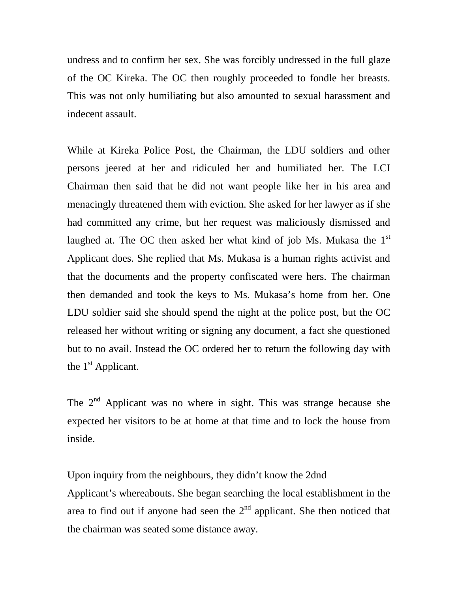undress and to confirm her sex. She was forcibly undressed in the full glaze of the OC Kireka. The OC then roughly proceeded to fondle her breasts. This was not only humiliating but also amounted to sexual harassment and indecent assault.

While at Kireka Police Post, the Chairman, the LDU soldiers and other persons jeered at her and ridiculed her and humiliated her. The LCI Chairman then said that he did not want people like her in his area and menacingly threatened them with eviction. She asked for her lawyer as if she had committed any crime, but her request was maliciously dismissed and laughed at. The OC then asked her what kind of job Ms. Mukasa the 1st Applicant does. She replied that Ms. Mukasa is a human rights activist and that the documents and the property confiscated were hers. The chairman then demanded and took the keys to Ms. Mukasa's home from her. One LDU soldier said she should spend the night at the police post, but the OC released her without writing or signing any document, a fact she questioned but to no avail. Instead the OC ordered her to return the following day with the  $1<sup>st</sup>$  Applicant.

The  $2<sup>nd</sup>$  Applicant was no where in sight. This was strange because she expected her visitors to be at home at that time and to lock the house from inside.

Upon inquiry from the neighbours, they didn't know the 2dnd Applicant's whereabouts. She began searching the local establishment in the area to find out if anyone had seen the  $2<sup>nd</sup>$  applicant. She then noticed that the chairman was seated some distance away.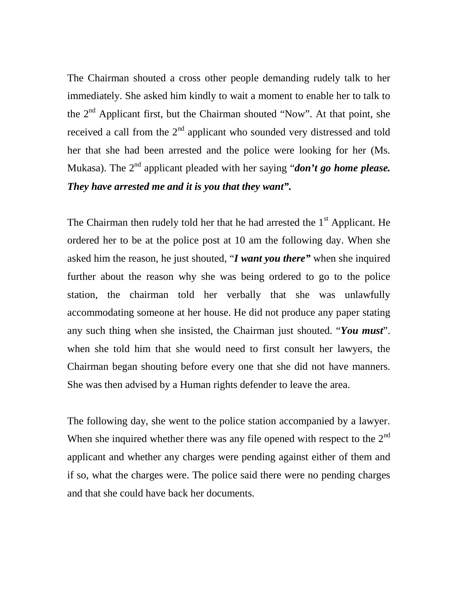The Chairman shouted a cross other people demanding rudely talk to her immediately. She asked him kindly to wait a moment to enable her to talk to the  $2<sup>nd</sup>$  Applicant first, but the Chairman shouted "Now". At that point, she received a call from the  $2<sup>nd</sup>$  applicant who sounded very distressed and told her that she had been arrested and the police were looking for her (Ms. Mukasa). The  $2^{nd}$  applicant pleaded with her saying "*don't go home please*. *They have arrested me and it is you that they want".*

The Chairman then rudely told her that he had arrested the  $1<sup>st</sup>$  Applicant. He ordered her to be at the police post at 10 am the following day. When she asked him the reason, he just shouted, "*I want you there"* when she inquired further about the reason why she was being ordered to go to the police station, the chairman told her verbally that she was unlawfully accommodating someone at her house. He did not produce any paper stating any such thing when she insisted, the Chairman just shouted. "*You must*". when she told him that she would need to first consult her lawyers, the Chairman began shouting before every one that she did not have manners. She was then advised by a Human rights defender to leave the area.

The following day, she went to the police station accompanied by a lawyer. When she inquired whether there was any file opened with respect to the  $2<sup>nd</sup>$ applicant and whether any charges were pending against either of them and if so, what the charges were. The police said there were no pending charges and that she could have back her documents.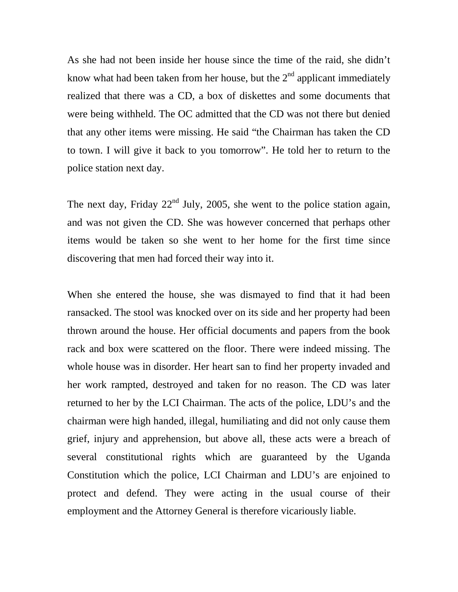As she had not been inside her house since the time of the raid, she didn't know what had been taken from her house, but the  $2<sup>nd</sup>$  applicant immediately realized that there was a CD, a box of diskettes and some documents that were being withheld. The OC admitted that the CD was not there but denied that any other items were missing. He said "the Chairman has taken the CD to town. I will give it back to you tomorrow". He told her to return to the police station next day.

The next day, Friday  $22<sup>nd</sup>$  July, 2005, she went to the police station again, and was not given the CD. She was however concerned that perhaps other items would be taken so she went to her home for the first time since discovering that men had forced their way into it.

When she entered the house, she was dismayed to find that it had been ransacked. The stool was knocked over on its side and her property had been thrown around the house. Her official documents and papers from the book rack and box were scattered on the floor. There were indeed missing. The whole house was in disorder. Her heart san to find her property invaded and her work rampted, destroyed and taken for no reason. The CD was later returned to her by the LCI Chairman. The acts of the police, LDU's and the chairman were high handed, illegal, humiliating and did not only cause them grief, injury and apprehension, but above all, these acts were a breach of several constitutional rights which are guaranteed by the Uganda Constitution which the police, LCI Chairman and LDU's are enjoined to protect and defend. They were acting in the usual course of their employment and the Attorney General is therefore vicariously liable.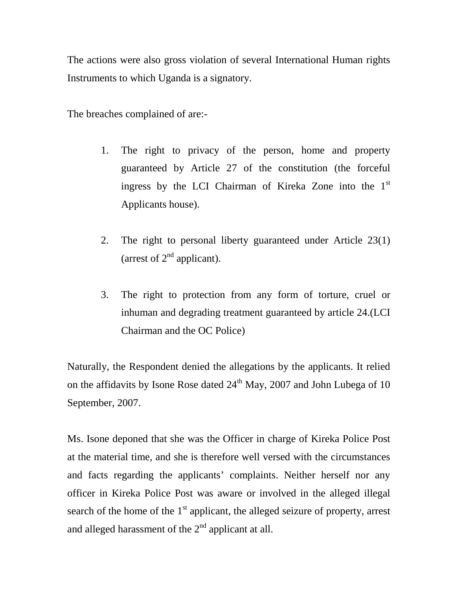The actions were also gross violation of several International Human rights Instruments to which Uganda is a signatory.

The breaches complained of are:-

- 1. The right to privacy of the person, home and property guaranteed by Article 27 of the constitution (the forceful ingress by the LCI Chairman of Kireka Zone into the 1st Applicants house).
- 2. The right to personal liberty guaranteed under Article 23(1) (arrest of  $2<sup>nd</sup>$  applicant).
- 3. The right to protection from any form of torture, cruel or inhuman and degrading treatment guaranteed by article 24.(LCI Chairman and the OC Police)

Naturally, the Respondent denied the allegations by the applicants. It relied on the affidavits by Isone Rose dated  $24<sup>th</sup>$  May, 2007 and John Lubega of 10 September, 2007.

Ms. Isone deponed that she was the Officer in charge of Kireka Police Post at the material time, and she is therefore well versed with the circumstances and facts regarding the applicants' complaints. Neither herself nor any officer in Kireka Police Post was aware or involved in the alleged illegal search of the home of the  $1<sup>st</sup>$  applicant, the alleged seizure of property, arrest and alleged harassment of the  $2<sup>nd</sup>$  applicant at all.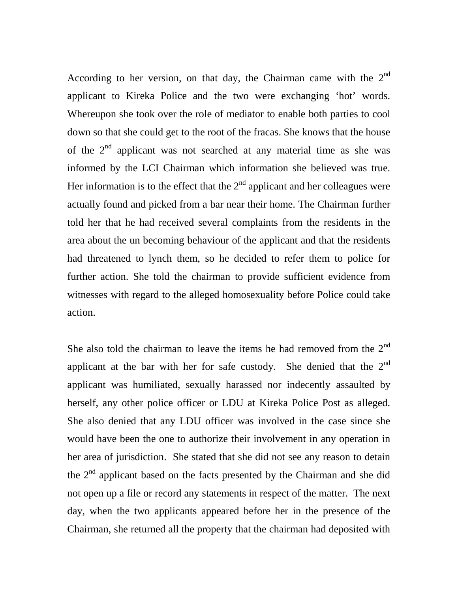According to her version, on that day, the Chairman came with the  $2<sup>nd</sup>$ applicant to Kireka Police and the two were exchanging 'hot' words. Whereupon she took over the role of mediator to enable both parties to cool down so that she could get to the root of the fracas. She knows that the house of the  $2<sup>nd</sup>$  applicant was not searched at any material time as she was informed by the LCI Chairman which information she believed was true. Her information is to the effect that the  $2<sup>nd</sup>$  applicant and her colleagues were actually found and picked from a bar near their home. The Chairman further told her that he had received several complaints from the residents in the area about the un becoming behaviour of the applicant and that the residents had threatened to lynch them, so he decided to refer them to police for further action. She told the chairman to provide sufficient evidence from witnesses with regard to the alleged homosexuality before Police could take action.

She also told the chairman to leave the items he had removed from the  $2<sup>nd</sup>$ applicant at the bar with her for safe custody. She denied that the  $2<sup>nd</sup>$ applicant was humiliated, sexually harassed nor indecently assaulted by herself, any other police officer or LDU at Kireka Police Post as alleged. She also denied that any LDU officer was involved in the case since she would have been the one to authorize their involvement in any operation in her area of jurisdiction. She stated that she did not see any reason to detain the 2<sup>nd</sup> applicant based on the facts presented by the Chairman and she did not open up a file or record any statements in respect of the matter. The next day, when the two applicants appeared before her in the presence of the Chairman, she returned all the property that the chairman had deposited with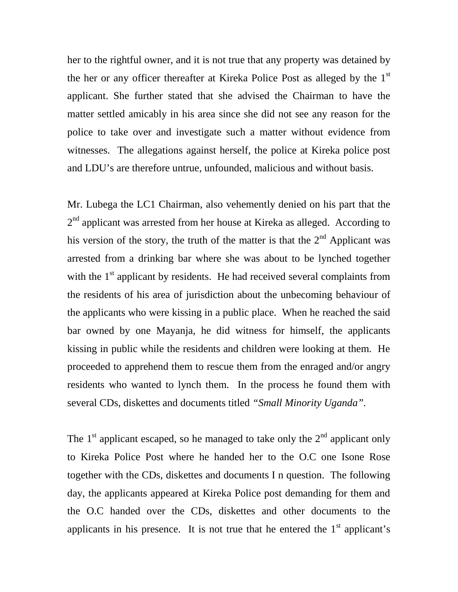her to the rightful owner, and it is not true that any property was detained by the her or any officer thereafter at Kireka Police Post as alleged by the 1<sup>st</sup> applicant. She further stated that she advised the Chairman to have the matter settled amicably in his area since she did not see any reason for the police to take over and investigate such a matter without evidence from witnesses. The allegations against herself, the police at Kireka police post and LDU's are therefore untrue, unfounded, malicious and without basis.

Mr. Lubega the LC1 Chairman, also vehemently denied on his part that the  $2<sup>nd</sup>$  applicant was arrested from her house at Kireka as alleged. According to his version of the story, the truth of the matter is that the  $2<sup>nd</sup>$  Applicant was arrested from a drinking bar where she was about to be lynched together with the  $1<sup>st</sup>$  applicant by residents. He had received several complaints from the residents of his area of jurisdiction about the unbecoming behaviour of the applicants who were kissing in a public place. When he reached the said bar owned by one Mayanja, he did witness for himself, the applicants kissing in public while the residents and children were looking at them. He proceeded to apprehend them to rescue them from the enraged and/or angry residents who wanted to lynch them. In the process he found them with several CDs, diskettes and documents titled *"Small Minority Uganda".*

The  $1<sup>st</sup>$  applicant escaped, so he managed to take only the  $2<sup>nd</sup>$  applicant only to Kireka Police Post where he handed her to the O.C one Isone Rose together with the CDs, diskettes and documents I n question. The following day, the applicants appeared at Kireka Police post demanding for them and the O.C handed over the CDs, diskettes and other documents to the applicants in his presence. It is not true that he entered the  $1<sup>st</sup>$  applicant's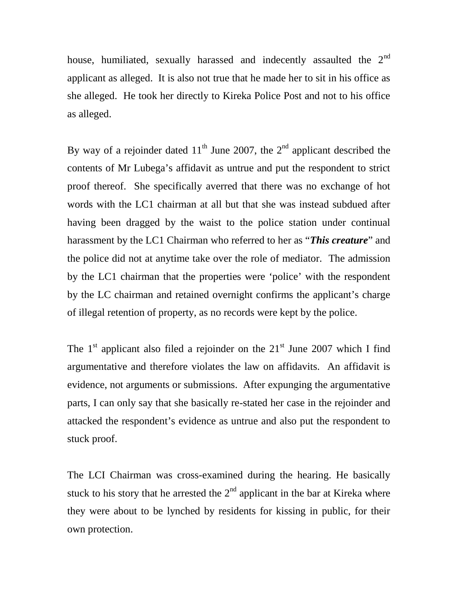house, humiliated, sexually harassed and indecently assaulted the  $2<sup>nd</sup>$ applicant as alleged. It is also not true that he made her to sit in his office as she alleged. He took her directly to Kireka Police Post and not to his office as alleged.

By way of a rejoinder dated  $11<sup>th</sup>$  June 2007, the  $2<sup>nd</sup>$  applicant described the contents of Mr Lubega's affidavit as untrue and put the respondent to strict proof thereof. She specifically averred that there was no exchange of hot words with the LC1 chairman at all but that she was instead subdued after having been dragged by the waist to the police station under continual harassment by the LC1 Chairman who referred to her as "*This creature*" and the police did not at anytime take over the role of mediator. The admission by the LC1 chairman that the properties were 'police' with the respondent by the LC chairman and retained overnight confirms the applicant's charge of illegal retention of property, as no records were kept by the police.

The  $1<sup>st</sup>$  applicant also filed a rejoinder on the  $21<sup>st</sup>$  June 2007 which I find argumentative and therefore violates the law on affidavits. An affidavit is evidence, not arguments or submissions. After expunging the argumentative parts, I can only say that she basically re-stated her case in the rejoinder and attacked the respondent's evidence as untrue and also put the respondent to stuck proof.

The LCI Chairman was cross-examined during the hearing. He basically stuck to his story that he arrested the  $2<sup>nd</sup>$  applicant in the bar at Kireka where they were about to be lynched by residents for kissing in public, for their own protection.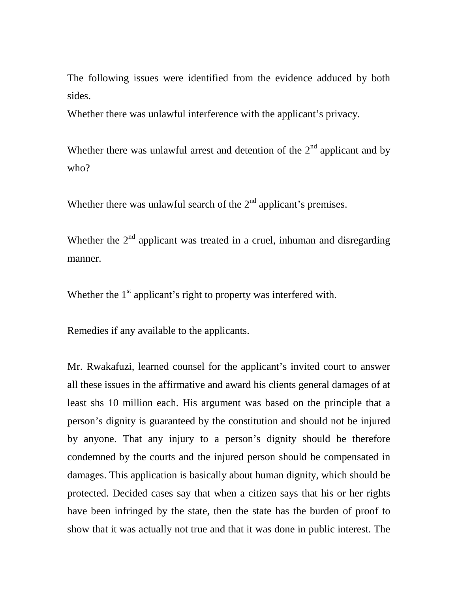The following issues were identified from the evidence adduced by both sides.

Whether there was unlawful interference with the applicant's privacy.

Whether there was unlawful arrest and detention of the  $2<sup>nd</sup>$  applicant and by who?

Whether there was unlawful search of the  $2<sup>nd</sup>$  applicant's premises.

Whether the  $2<sup>nd</sup>$  applicant was treated in a cruel, inhuman and disregarding manner.

Whether the  $1<sup>st</sup>$  applicant's right to property was interfered with.

Remedies if any available to the applicants.

Mr. Rwakafuzi, learned counsel for the applicant's invited court to answer all these issues in the affirmative and award his clients general damages of at least shs 10 million each. His argument was based on the principle that a person's dignity is guaranteed by the constitution and should not be injured by anyone. That any injury to a person's dignity should be therefore condemned by the courts and the injured person should be compensated in damages. This application is basically about human dignity, which should be protected. Decided cases say that when a citizen says that his or her rights have been infringed by the state, then the state has the burden of proof to show that it was actually not true and that it was done in public interest. The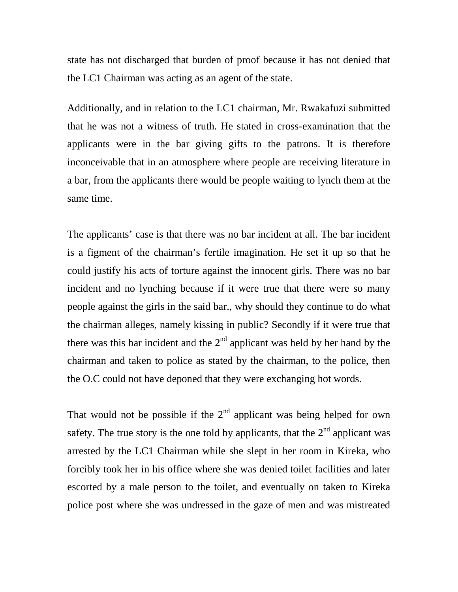state has not discharged that burden of proof because it has not denied that the LC1 Chairman was acting as an agent of the state.

Additionally, and in relation to the LC1 chairman, Mr. Rwakafuzi submitted that he was not a witness of truth. He stated in cross-examination that the applicants were in the bar giving gifts to the patrons. It is therefore inconceivable that in an atmosphere where people are receiving literature in a bar, from the applicants there would be people waiting to lynch them at the same time.

The applicants' case is that there was no bar incident at all. The bar incident is a figment of the chairman's fertile imagination. He set it up so that he could justify his acts of torture against the innocent girls. There was no bar incident and no lynching because if it were true that there were so many people against the girls in the said bar., why should they continue to do what the chairman alleges, namely kissing in public? Secondly if it were true that there was this bar incident and the  $2<sup>nd</sup>$  applicant was held by her hand by the chairman and taken to police as stated by the chairman, to the police, then the O.C could not have deponed that they were exchanging hot words.

That would not be possible if the  $2<sup>nd</sup>$  applicant was being helped for own safety. The true story is the one told by applicants, that the  $2<sup>nd</sup>$  applicant was arrested by the LC1 Chairman while she slept in her room in Kireka, who forcibly took her in his office where she was denied toilet facilities and later escorted by a male person to the toilet, and eventually on taken to Kireka police post where she was undressed in the gaze of men and was mistreated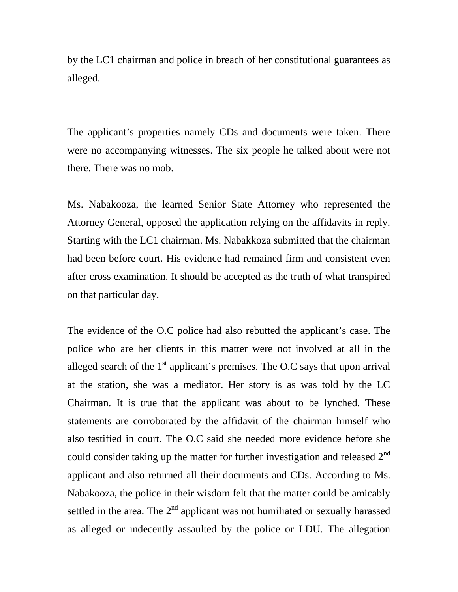by the LC1 chairman and police in breach of her constitutional guarantees as alleged.

The applicant's properties namely CDs and documents were taken. There were no accompanying witnesses. The six people he talked about were not there. There was no mob.

Ms. Nabakooza, the learned Senior State Attorney who represented the Attorney General, opposed the application relying on the affidavits in reply. Starting with the LC1 chairman. Ms. Nabakkoza submitted that the chairman had been before court. His evidence had remained firm and consistent even after cross examination. It should be accepted as the truth of what transpired on that particular day.

The evidence of the O.C police had also rebutted the applicant's case. The police who are her clients in this matter were not involved at all in the alleged search of the  $1<sup>st</sup>$  applicant's premises. The O.C says that upon arrival at the station, she was a mediator. Her story is as was told by the LC Chairman. It is true that the applicant was about to be lynched. These statements are corroborated by the affidavit of the chairman himself who also testified in court. The O.C said she needed more evidence before she could consider taking up the matter for further investigation and released  $2<sup>nd</sup>$ applicant and also returned all their documents and CDs. According to Ms. Nabakooza, the police in their wisdom felt that the matter could be amicably settled in the area. The  $2<sup>nd</sup>$  applicant was not humiliated or sexually harassed as alleged or indecently assaulted by the police or LDU. The allegation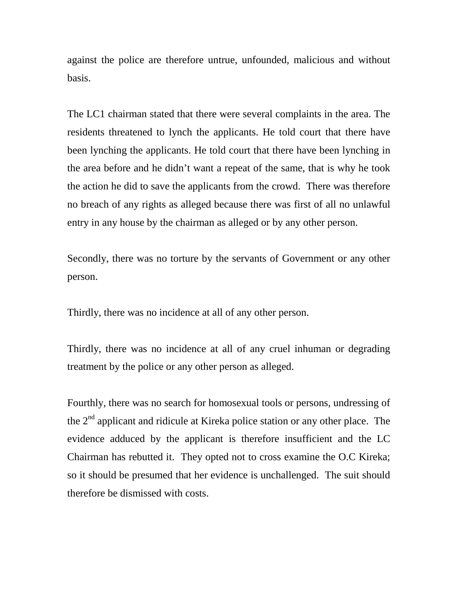against the police are therefore untrue, unfounded, malicious and without basis.

The LC1 chairman stated that there were several complaints in the area. The residents threatened to lynch the applicants. He told court that there have been lynching the applicants. He told court that there have been lynching in the area before and he didn't want a repeat of the same, that is why he took the action he did to save the applicants from the crowd. There was therefore no breach of any rights as alleged because there was first of all no unlawful entry in any house by the chairman as alleged or by any other person.

Secondly, there was no torture by the servants of Government or any other person.

Thirdly, there was no incidence at all of any other person.

Thirdly, there was no incidence at all of any cruel inhuman or degrading treatment by the police or any other person as alleged.

Fourthly, there was no search for homosexual tools or persons, undressing of the  $2<sup>nd</sup>$  applicant and ridicule at Kireka police station or any other place. The evidence adduced by the applicant is therefore insufficient and the LC Chairman has rebutted it. They opted not to cross examine the O.C Kireka; so it should be presumed that her evidence is unchallenged. The suit should therefore be dismissed with costs.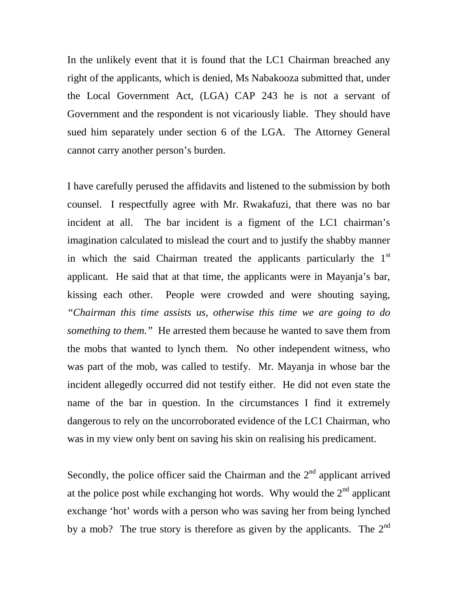In the unlikely event that it is found that the LC1 Chairman breached any right of the applicants, which is denied, Ms Nabakooza submitted that, under the Local Government Act, (LGA) CAP 243 he is not a servant of Government and the respondent is not vicariously liable. They should have sued him separately under section 6 of the LGA. The Attorney General cannot carry another person's burden.

I have carefully perused the affidavits and listened to the submission by both counsel. I respectfully agree with Mr. Rwakafuzi, that there was no bar incident at all. The bar incident is a figment of the LC1 chairman's imagination calculated to mislead the court and to justify the shabby manner in which the said Chairman treated the applicants particularly the 1<sup>st</sup> applicant. He said that at that time, the applicants were in Mayanja's bar, kissing each other. People were crowded and were shouting saying, *"Chairman this time assists us, otherwise this time we are going to do something to them."* He arrested them because he wanted to save them from the mobs that wanted to lynch them. No other independent witness, who was part of the mob, was called to testify. Mr. Mayanja in whose bar the incident allegedly occurred did not testify either. He did not even state the name of the bar in question. In the circumstances I find it extremely dangerous to rely on the uncorroborated evidence of the LC1 Chairman, who was in my view only bent on saving his skin on realising his predicament.

Secondly, the police officer said the Chairman and the  $2<sup>nd</sup>$  applicant arrived at the police post while exchanging hot words. Why would the  $2<sup>nd</sup>$  applicant exchange 'hot' words with a person who was saving her from being lynched by a mob? The true story is therefore as given by the applicants. The  $2^{nd}$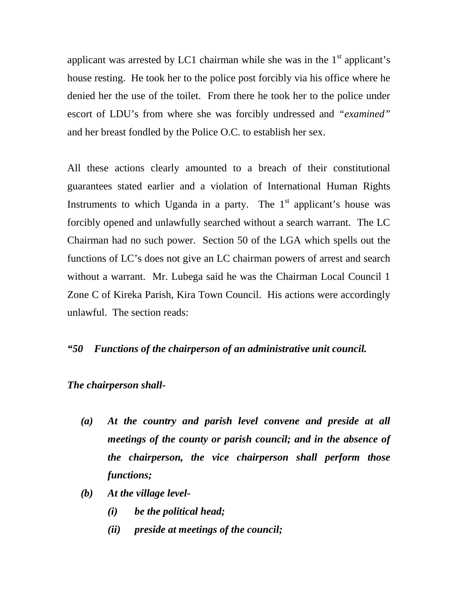applicant was arrested by LC1 chairman while she was in the  $1<sup>st</sup>$  applicant's house resting. He took her to the police post forcibly via his office where he denied her the use of the toilet. From there he took her to the police under escort of LDU's from where she was forcibly undressed and *"examined"* and her breast fondled by the Police O.C. to establish her sex.

All these actions clearly amounted to a breach of their constitutional guarantees stated earlier and a violation of International Human Rights Instruments to which Uganda in a party. The  $1<sup>st</sup>$  applicant's house was forcibly opened and unlawfully searched without a search warrant. The LC Chairman had no such power. Section 50 of the LGA which spells out the functions of LC's does not give an LC chairman powers of arrest and search without a warrant. Mr. Lubega said he was the Chairman Local Council 1 Zone C of Kireka Parish, Kira Town Council. His actions were accordingly unlawful. The section reads:

#### *"50 Functions of the chairperson of an administrative unit council.*

#### *The chairperson shall-*

- *(a) At the country and parish level convene and preside at all meetings of the county or parish council; and in the absence of the chairperson, the vice chairperson shall perform those functions;*
- *(b) At the village level-*
	- *(i) be the political head;*
	- *(ii) preside at meetings of the council;*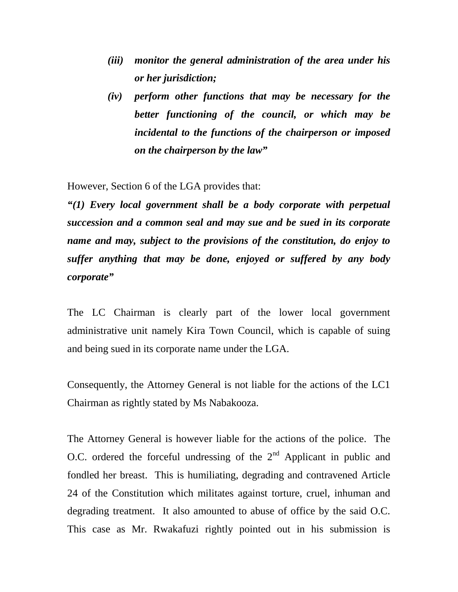- *(iii) monitor the general administration of the area under his or her jurisdiction;*
- *(iv) perform other functions that may be necessary for the better functioning of the council, or which may be incidental to the functions of the chairperson or imposed on the chairperson by the law"*

However, Section 6 of the LGA provides that:

*"(1) Every local government shall be a body corporate with perpetual succession and a common seal and may sue and be sued in its corporate name and may, subject to the provisions of the constitution, do enjoy to suffer anything that may be done, enjoyed or suffered by any body corporate"*

The LC Chairman is clearly part of the lower local government administrative unit namely Kira Town Council, which is capable of suing and being sued in its corporate name under the LGA.

Consequently, the Attorney General is not liable for the actions of the LC1 Chairman as rightly stated by Ms Nabakooza.

The Attorney General is however liable for the actions of the police. The O.C. ordered the forceful undressing of the  $2<sup>nd</sup>$  Applicant in public and fondled her breast. This is humiliating, degrading and contravened Article 24 of the Constitution which militates against torture, cruel, inhuman and degrading treatment. It also amounted to abuse of office by the said O.C. This case as Mr. Rwakafuzi rightly pointed out in his submission is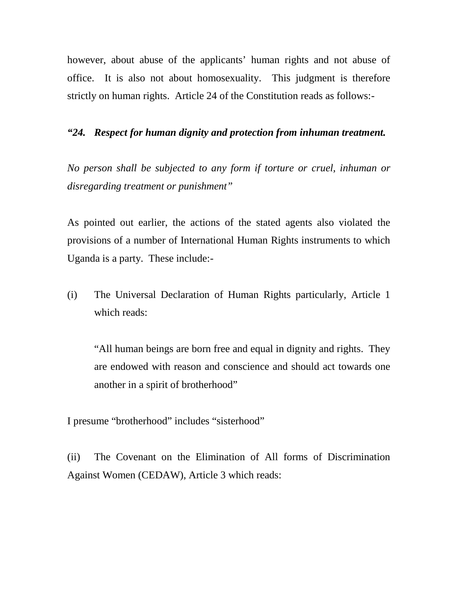however, about abuse of the applicants' human rights and not abuse of office. It is also not about homosexuality. This judgment is therefore strictly on human rights. Article 24 of the Constitution reads as follows:-

## *"24. Respect for human dignity and protection from inhuman treatment.*

*No person shall be subjected to any form if torture or cruel, inhuman or disregarding treatment or punishment"*

As pointed out earlier, the actions of the stated agents also violated the provisions of a number of International Human Rights instruments to which Uganda is a party. These include:-

(i) The Universal Declaration of Human Rights particularly, Article 1 which reads:

"All human beings are born free and equal in dignity and rights. They are endowed with reason and conscience and should act towards one another in a spirit of brotherhood"

I presume "brotherhood" includes "sisterhood"

(ii) The Covenant on the Elimination of All forms of Discrimination Against Women (CEDAW), Article 3 which reads: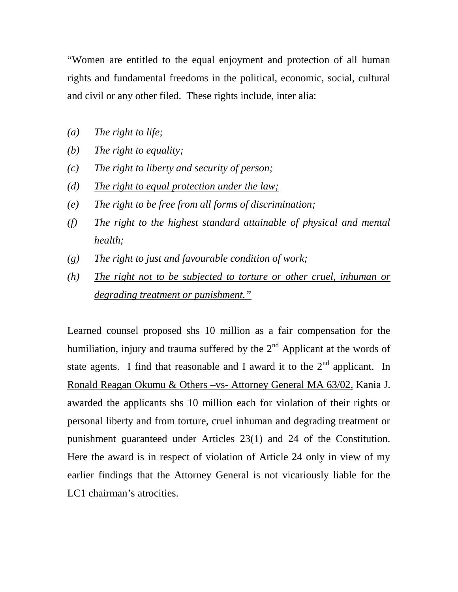"Women are entitled to the equal enjoyment and protection of all human rights and fundamental freedoms in the political, economic, social, cultural and civil or any other filed. These rights include, inter alia:

- *(a) The right to life;*
- *(b) The right to equality;*
- *(c) The right to liberty and security of person;*
- *(d) The right to equal protection under the law;*
- *(e) The right to be free from all forms of discrimination;*
- *(f) The right to the highest standard attainable of physical and mental health;*
- *(g) The right to just and favourable condition of work;*
- *(h) The right not to be subjected to torture or other cruel, inhuman or degrading treatment or punishment."*

Learned counsel proposed shs 10 million as a fair compensation for the humiliation, injury and trauma suffered by the  $2<sup>nd</sup>$  Applicant at the words of state agents. I find that reasonable and I award it to the  $2<sup>nd</sup>$  applicant. In Ronald Reagan Okumu & Others –vs- Attorney General MA 63/02, Kania J. awarded the applicants shs 10 million each for violation of their rights or personal liberty and from torture, cruel inhuman and degrading treatment or punishment guaranteed under Articles 23(1) and 24 of the Constitution. Here the award is in respect of violation of Article 24 only in view of my earlier findings that the Attorney General is not vicariously liable for the LC1 chairman's atrocities.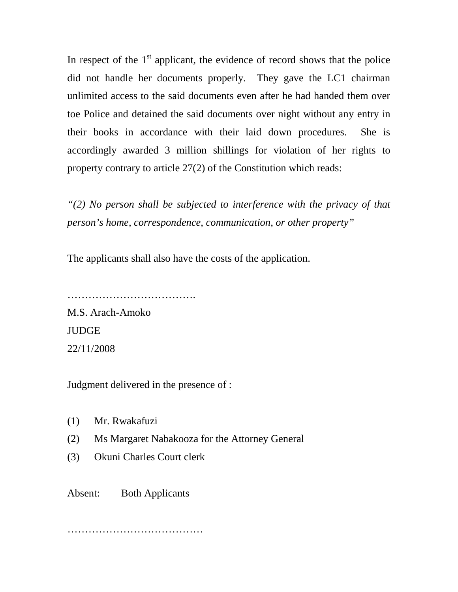In respect of the  $1<sup>st</sup>$  applicant, the evidence of record shows that the police did not handle her documents properly. They gave the LC1 chairman unlimited access to the said documents even after he had handed them over toe Police and detained the said documents over night without any entry in their books in accordance with their laid down procedures. She is accordingly awarded 3 million shillings for violation of her rights to property contrary to article 27(2) of the Constitution which reads:

*"(2) No person shall be subjected to interference with the privacy of that person's home, correspondence, communication, or other property"*

The applicants shall also have the costs of the application.

……………………………………………… M.S. Arach-Amoko **JUDGE** 22/11/2008

Judgment delivered in the presence of :

- (1) Mr. Rwakafuzi
- (2) Ms Margaret Nabakooza for the Attorney General
- (3) Okuni Charles Court clerk

Absent: Both Applicants

…………………………………